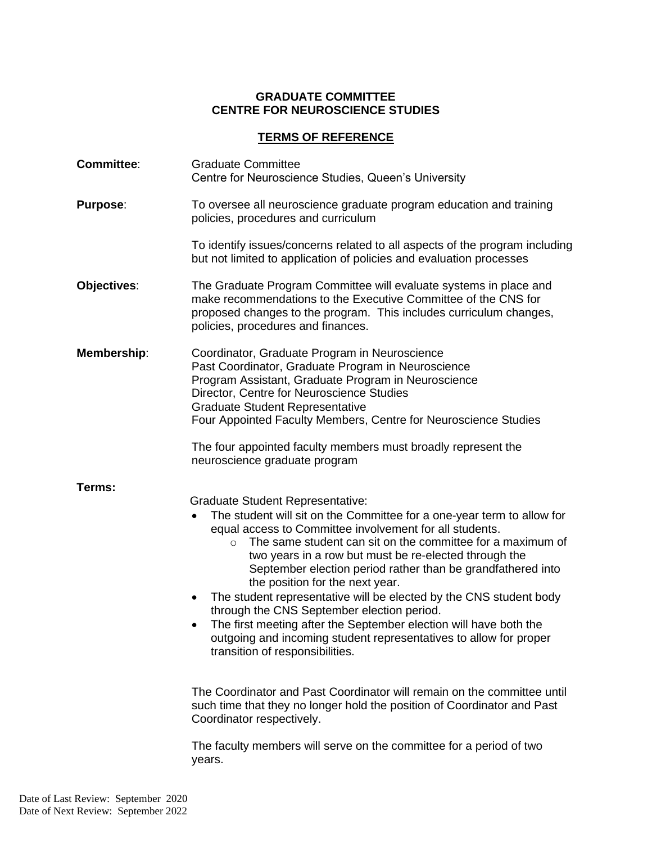## **GRADUATE COMMITTEE CENTRE FOR NEUROSCIENCE STUDIES**

## **TERMS OF REFERENCE**

| <b>Committee:</b> | <b>Graduate Committee</b><br>Centre for Neuroscience Studies, Queen's University                                                                                                                                                                                                                                                                                                                                                                                                                                                                                                                                                                                                                                                      |
|-------------------|---------------------------------------------------------------------------------------------------------------------------------------------------------------------------------------------------------------------------------------------------------------------------------------------------------------------------------------------------------------------------------------------------------------------------------------------------------------------------------------------------------------------------------------------------------------------------------------------------------------------------------------------------------------------------------------------------------------------------------------|
| <b>Purpose:</b>   | To oversee all neuroscience graduate program education and training<br>policies, procedures and curriculum                                                                                                                                                                                                                                                                                                                                                                                                                                                                                                                                                                                                                            |
|                   | To identify issues/concerns related to all aspects of the program including<br>but not limited to application of policies and evaluation processes                                                                                                                                                                                                                                                                                                                                                                                                                                                                                                                                                                                    |
| Objectives:       | The Graduate Program Committee will evaluate systems in place and<br>make recommendations to the Executive Committee of the CNS for<br>proposed changes to the program. This includes curriculum changes,<br>policies, procedures and finances.                                                                                                                                                                                                                                                                                                                                                                                                                                                                                       |
| Membership:       | Coordinator, Graduate Program in Neuroscience<br>Past Coordinator, Graduate Program in Neuroscience<br>Program Assistant, Graduate Program in Neuroscience<br>Director, Centre for Neuroscience Studies<br><b>Graduate Student Representative</b><br>Four Appointed Faculty Members, Centre for Neuroscience Studies                                                                                                                                                                                                                                                                                                                                                                                                                  |
|                   | The four appointed faculty members must broadly represent the<br>neuroscience graduate program                                                                                                                                                                                                                                                                                                                                                                                                                                                                                                                                                                                                                                        |
| Terms:            | <b>Graduate Student Representative:</b><br>The student will sit on the Committee for a one-year term to allow for<br>$\bullet$<br>equal access to Committee involvement for all students.<br>The same student can sit on the committee for a maximum of<br>two years in a row but must be re-elected through the<br>September election period rather than be grandfathered into<br>the position for the next year.<br>The student representative will be elected by the CNS student body<br>٠<br>through the CNS September election period.<br>The first meeting after the September election will have both the<br>$\bullet$<br>outgoing and incoming student representatives to allow for proper<br>transition of responsibilities. |
|                   | The Coordinator and Past Coordinator will remain on the committee until<br>such time that they no longer hold the position of Coordinator and Past<br>Coordinator respectively.                                                                                                                                                                                                                                                                                                                                                                                                                                                                                                                                                       |
|                   | The faculty members will serve on the committee for a period of two<br>years.                                                                                                                                                                                                                                                                                                                                                                                                                                                                                                                                                                                                                                                         |